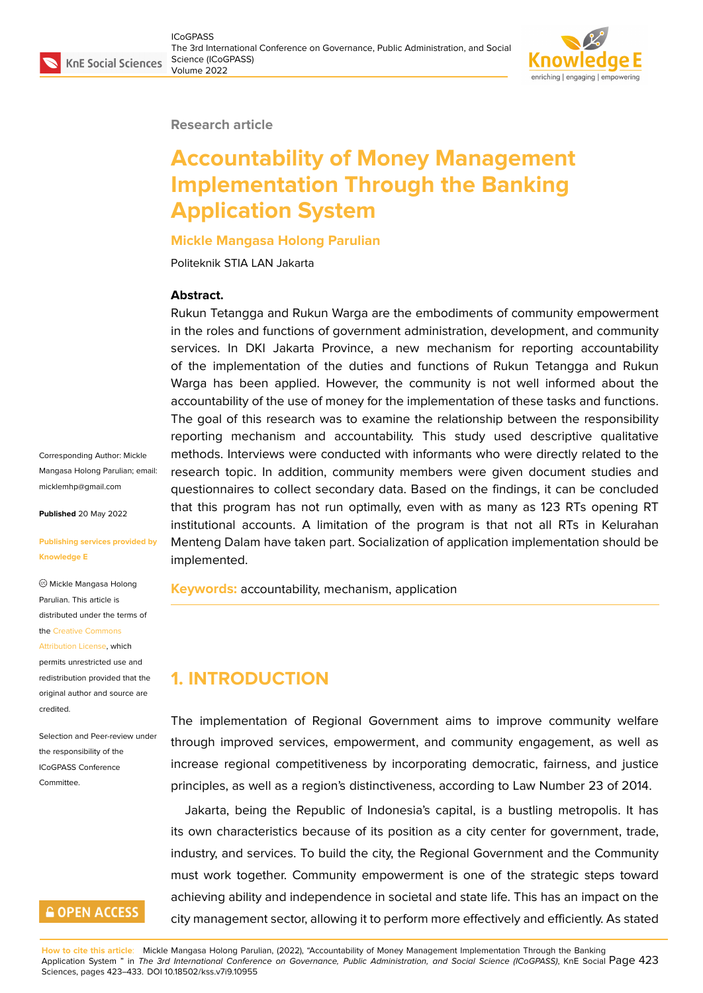#### **Research article**

# **Accountability of Money Management Implementation Through the Banking Application System**

**Mickle Mangasa Holong Parulian**

Politeknik STIA LAN Jakarta

#### **Abstract.**

Rukun Tetangga and Rukun Warga are the embodiments of community empowerment in the roles and functions of government administration, development, and community services. In DKI Jakarta Province, a new mechanism for reporting accountability of the implementation of the duties and functions of Rukun Tetangga and Rukun Warga has been applied. However, the community is not well informed about the accountability of the use of money for the implementation of these tasks and functions. The goal of this research was to examine the relationship between the responsibility reporting mechanism and accountability. This study used descriptive qualitative methods. Interviews were conducted with informants who were directly related to the research topic. In addition, community members were given document studies and questionnaires to collect secondary data. Based on the findings, it can be concluded that this program has not run optimally, even with as many as 123 RTs opening RT institutional accounts. A limitation of the program is that not all RTs in Kelurahan Menteng Dalam have taken part. Socialization of application implementation should be implemented.

**Keywords:** accountability, mechanism, application

# **1. INTRODUCTION**

The implementation of Regional Government aims to improve community welfare through improved services, empowerment, and community engagement, as well as increase regional competitiveness by incorporating democratic, fairness, and justice principles, as well as a region's distinctiveness, according to Law Number 23 of 2014.

Jakarta, being the Republic of Indonesia's capital, is a bustling metropolis. It has its own characteristics because of its position as a city center for government, trade, industry, and services. To build the city, the Regional Government and the Community must work together. Community empowerment is one of the strategic steps toward achieving ability and independence in societal and state life. This has an impact on the city management sector, allowing it to perform more effectively and efficiently. As stated

Corresponding Author: Mickle Mangasa Holong Parulian; email: micklemhp@gmail.com

**Published** 20 May 2022

#### **[Publishing services pro](mailto:micklemhp@gmail.com)vided by Knowledge E**

Mickle Mangasa Holong Parulian. This article is distributed under the terms of the Creative Commons

#### Attribution License, which

permits unrestricted use and redistribution provided that the orig[inal author and sou](https://creativecommons.org/licenses/by/4.0/)rce are [credited.](https://creativecommons.org/licenses/by/4.0/)

Selection and Peer-review under the responsibility of the ICoGPASS Conference Committee.

### **GOPEN ACCESS**

**How to cite this article**: Mickle Mangasa Holong Parulian, (2022), "Accountability of Money Management Implementation Through the Banking Application System " in *The 3rd International Conference on Governance, Public Administration, and Social Science (ICoGPASS)*, KnE Social Page 423 Sciences, pages 423–433. DOI 10.18502/kss.v7i9.10955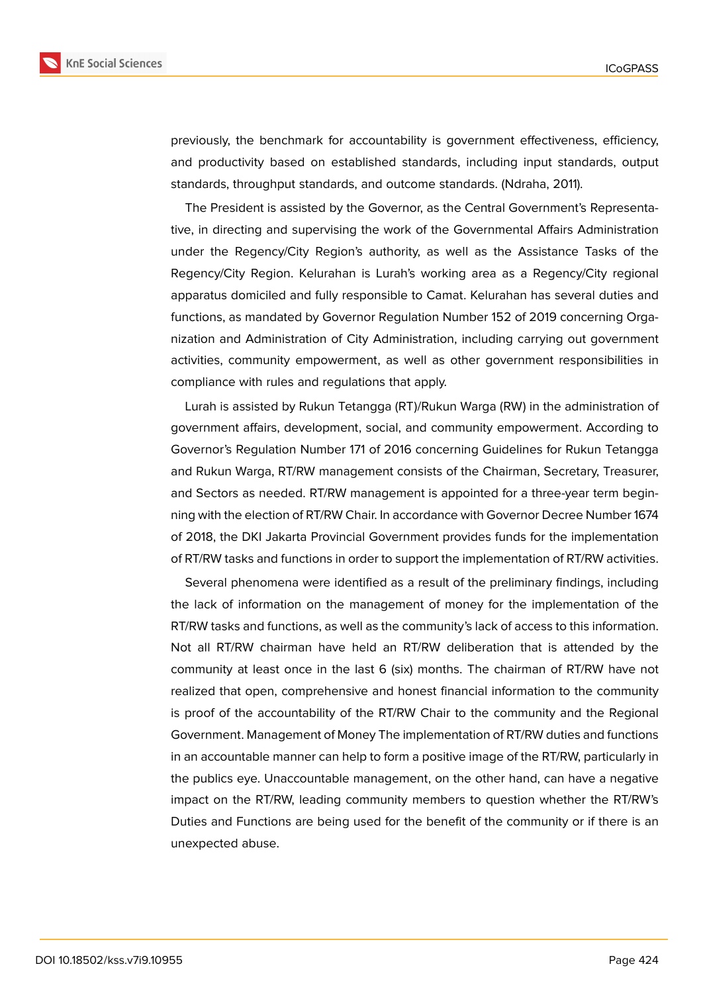

previously, the benchmark for accountability is government effectiveness, efficiency, and productivity based on established standards, including input standards, output standards, throughput standards, and outcome standards. (Ndraha, 2011).

The President is assisted by the Governor, as the Central Government's Representative, in directing and supervising the work of the Governmental Affairs Administration under the Regency/City Region's authority, as well as the Assistance Tasks of the Regency/City Region. Kelurahan is Lurah's working area as a Regency/City regional apparatus domiciled and fully responsible to Camat. Kelurahan has several duties and functions, as mandated by Governor Regulation Number 152 of 2019 concerning Organization and Administration of City Administration, including carrying out government activities, community empowerment, as well as other government responsibilities in compliance with rules and regulations that apply.

Lurah is assisted by Rukun Tetangga (RT)/Rukun Warga (RW) in the administration of government affairs, development, social, and community empowerment. According to Governor's Regulation Number 171 of 2016 concerning Guidelines for Rukun Tetangga and Rukun Warga, RT/RW management consists of the Chairman, Secretary, Treasurer, and Sectors as needed. RT/RW management is appointed for a three-year term beginning with the election of RT/RW Chair. In accordance with Governor Decree Number 1674 of 2018, the DKI Jakarta Provincial Government provides funds for the implementation of RT/RW tasks and functions in order to support the implementation of RT/RW activities.

Several phenomena were identified as a result of the preliminary findings, including the lack of information on the management of money for the implementation of the RT/RW tasks and functions, as well as the community's lack of access to this information. Not all RT/RW chairman have held an RT/RW deliberation that is attended by the community at least once in the last 6 (six) months. The chairman of RT/RW have not realized that open, comprehensive and honest financial information to the community is proof of the accountability of the RT/RW Chair to the community and the Regional Government. Management of Money The implementation of RT/RW duties and functions in an accountable manner can help to form a positive image of the RT/RW, particularly in the publics eye. Unaccountable management, on the other hand, can have a negative impact on the RT/RW, leading community members to question whether the RT/RW's Duties and Functions are being used for the benefit of the community or if there is an unexpected abuse.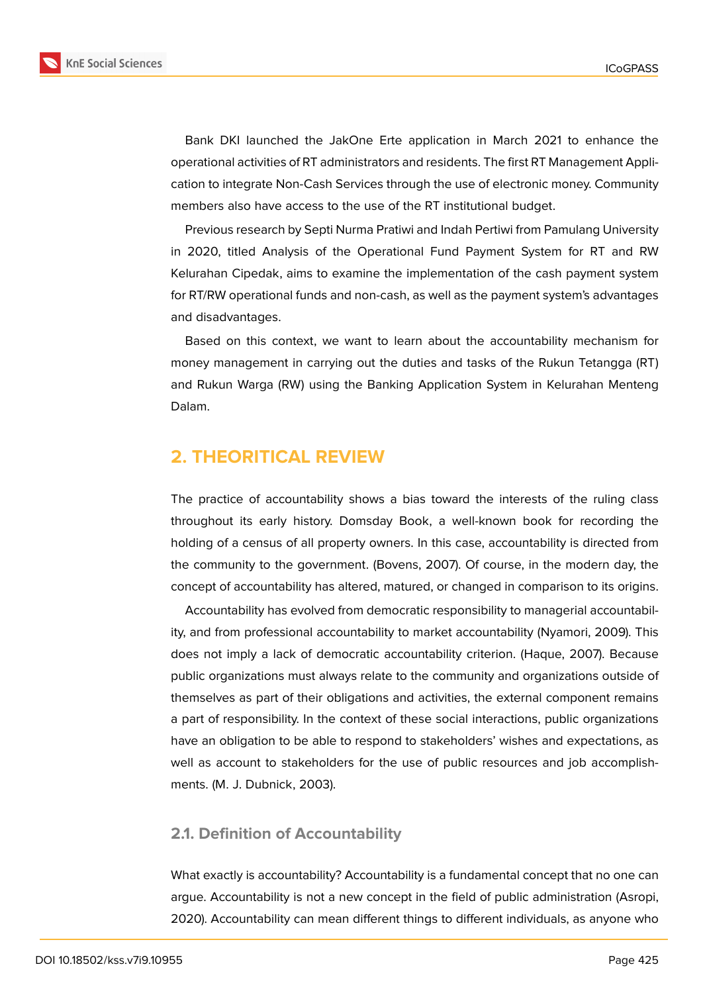

Bank DKI launched the JakOne Erte application in March 2021 to enhance the operational activities of RT administrators and residents. The first RT Management Application to integrate Non-Cash Services through the use of electronic money. Community members also have access to the use of the RT institutional budget.

Previous research by Septi Nurma Pratiwi and Indah Pertiwi from Pamulang University in 2020, titled Analysis of the Operational Fund Payment System for RT and RW Kelurahan Cipedak, aims to examine the implementation of the cash payment system for RT/RW operational funds and non-cash, as well as the payment system's advantages and disadvantages.

Based on this context, we want to learn about the accountability mechanism for money management in carrying out the duties and tasks of the Rukun Tetangga (RT) and Rukun Warga (RW) using the Banking Application System in Kelurahan Menteng Dalam.

### **2. THEORITICAL REVIEW**

The practice of accountability shows a bias toward the interests of the ruling class throughout its early history. Domsday Book, a well-known book for recording the holding of a census of all property owners. In this case, accountability is directed from the community to the government. (Bovens, 2007). Of course, in the modern day, the concept of accountability has altered, matured, or changed in comparison to its origins.

Accountability has evolved from democratic responsibility to managerial accountability, and from professional accountability to market accountability (Nyamori, 2009). This does not imply a lack of democratic accountability criterion. (Haque, 2007). Because public organizations must always relate to the community and organizations outside of themselves as part of their obligations and activities, the external component remains a part of responsibility. In the context of these social interactions, public organizations have an obligation to be able to respond to stakeholders' wishes and expectations, as well as account to stakeholders for the use of public resources and job accomplishments. (M. J. Dubnick, 2003).

#### **2.1. Definition of Accountability**

What exactly is accountability? Accountability is a fundamental concept that no one can argue. Accountability is not a new concept in the field of public administration (Asropi, 2020). Accountability can mean different things to different individuals, as anyone who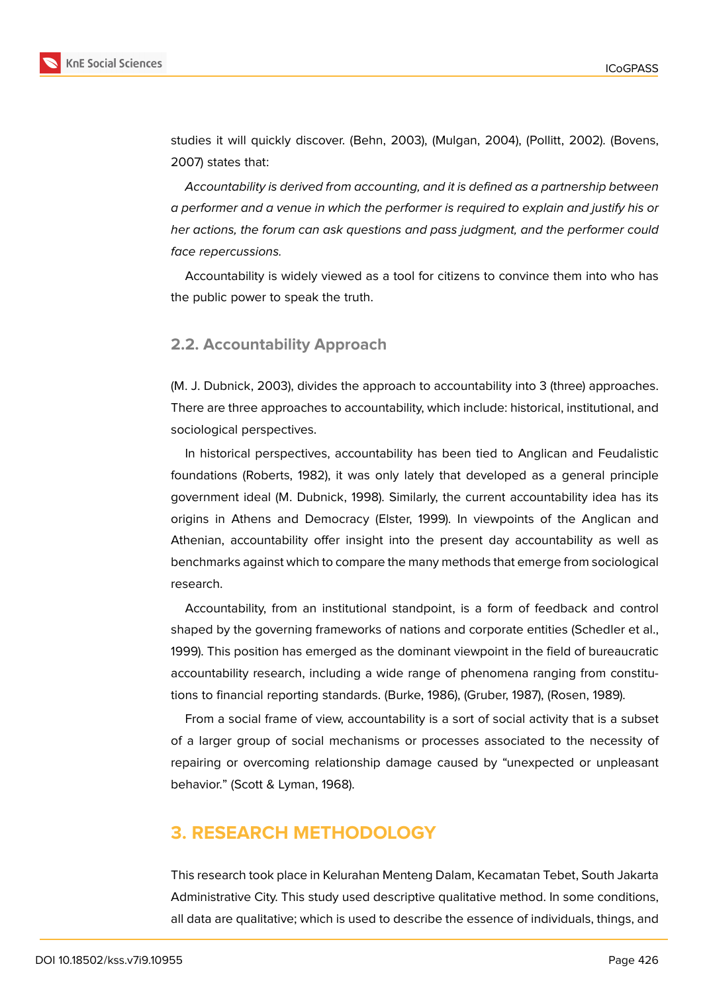

studies it will quickly discover. (Behn, 2003), (Mulgan, 2004), (Pollitt, 2002). (Bovens, 2007) states that:

*Accountability is derived from accounting, and it is defined as a partnership between a performer and a venue in which the performer is required to explain and justify his or her actions, the forum can ask questions and pass judgment, and the performer could face repercussions.*

Accountability is widely viewed as a tool for citizens to convince them into who has the public power to speak the truth.

#### **2.2. Accountability Approach**

(M. J. Dubnick, 2003), divides the approach to accountability into 3 (three) approaches. There are three approaches to accountability, which include: historical, institutional, and sociological perspectives.

In historical perspectives, accountability has been tied to Anglican and Feudalistic foundations (Roberts, 1982), it was only lately that developed as a general principle government ideal (M. Dubnick, 1998). Similarly, the current accountability idea has its origins in Athens and Democracy (Elster, 1999). In viewpoints of the Anglican and Athenian, accountability offer insight into the present day accountability as well as benchmarks against which to compare the many methods that emerge from sociological research.

Accountability, from an institutional standpoint, is a form of feedback and control shaped by the governing frameworks of nations and corporate entities (Schedler et al., 1999). This position has emerged as the dominant viewpoint in the field of bureaucratic accountability research, including a wide range of phenomena ranging from constitutions to financial reporting standards. (Burke, 1986), (Gruber, 1987), (Rosen, 1989).

From a social frame of view, accountability is a sort of social activity that is a subset of a larger group of social mechanisms or processes associated to the necessity of repairing or overcoming relationship damage caused by "unexpected or unpleasant behavior." (Scott & Lyman, 1968).

### **3. RESEARCH METHODOLOGY**

This research took place in Kelurahan Menteng Dalam, Kecamatan Tebet, South Jakarta Administrative City. This study used descriptive qualitative method. In some conditions, all data are qualitative; which is used to describe the essence of individuals, things, and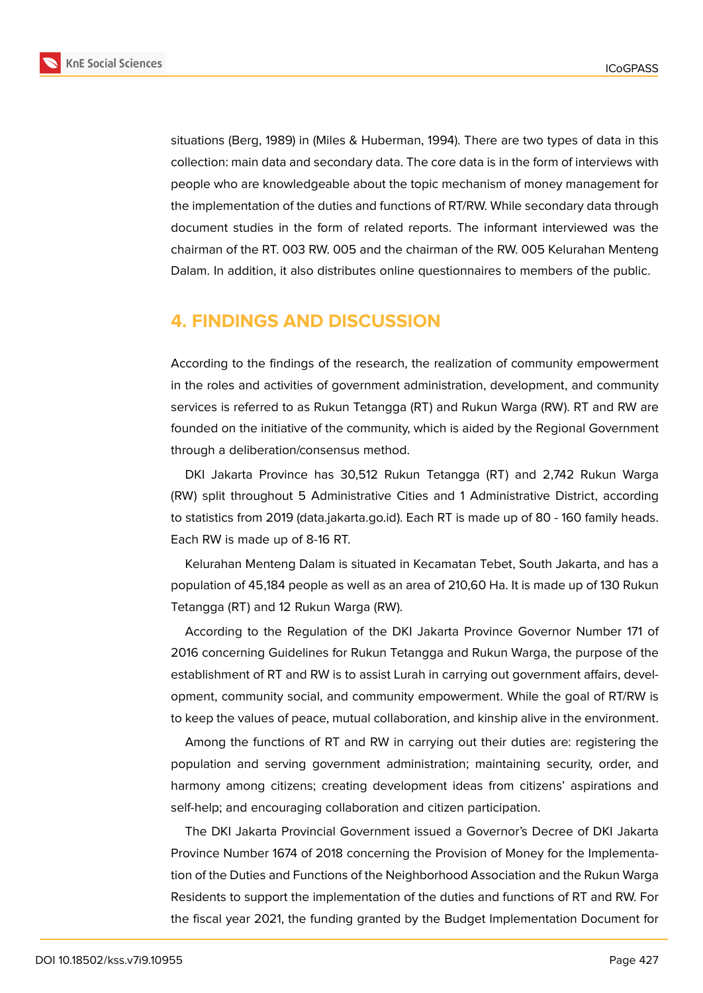

situations (Berg, 1989) in (Miles & Huberman, 1994). There are two types of data in this collection: main data and secondary data. The core data is in the form of interviews with people who are knowledgeable about the topic mechanism of money management for the implementation of the duties and functions of RT/RW. While secondary data through document studies in the form of related reports. The informant interviewed was the chairman of the RT. 003 RW. 005 and the chairman of the RW. 005 Kelurahan Menteng Dalam. In addition, it also distributes online questionnaires to members of the public.

### **4. FINDINGS AND DISCUSSION**

According to the findings of the research, the realization of community empowerment in the roles and activities of government administration, development, and community services is referred to as Rukun Tetangga (RT) and Rukun Warga (RW). RT and RW are founded on the initiative of the community, which is aided by the Regional Government through a deliberation/consensus method.

DKI Jakarta Province has 30,512 Rukun Tetangga (RT) and 2,742 Rukun Warga (RW) split throughout 5 Administrative Cities and 1 Administrative District, according to statistics from 2019 (data.jakarta.go.id). Each RT is made up of 80 - 160 family heads. Each RW is made up of 8-16 RT.

Kelurahan Menteng Dalam is situated in Kecamatan Tebet, South Jakarta, and has a population of 45,184 people as well as an area of 210,60 Ha. It is made up of 130 Rukun Tetangga (RT) and 12 Rukun Warga (RW).

According to the Regulation of the DKI Jakarta Province Governor Number 171 of 2016 concerning Guidelines for Rukun Tetangga and Rukun Warga, the purpose of the establishment of RT and RW is to assist Lurah in carrying out government affairs, development, community social, and community empowerment. While the goal of RT/RW is to keep the values of peace, mutual collaboration, and kinship alive in the environment.

Among the functions of RT and RW in carrying out their duties are: registering the population and serving government administration; maintaining security, order, and harmony among citizens; creating development ideas from citizens' aspirations and self-help; and encouraging collaboration and citizen participation.

The DKI Jakarta Provincial Government issued a Governor's Decree of DKI Jakarta Province Number 1674 of 2018 concerning the Provision of Money for the Implementation of the Duties and Functions of the Neighborhood Association and the Rukun Warga Residents to support the implementation of the duties and functions of RT and RW. For the fiscal year 2021, the funding granted by the Budget Implementation Document for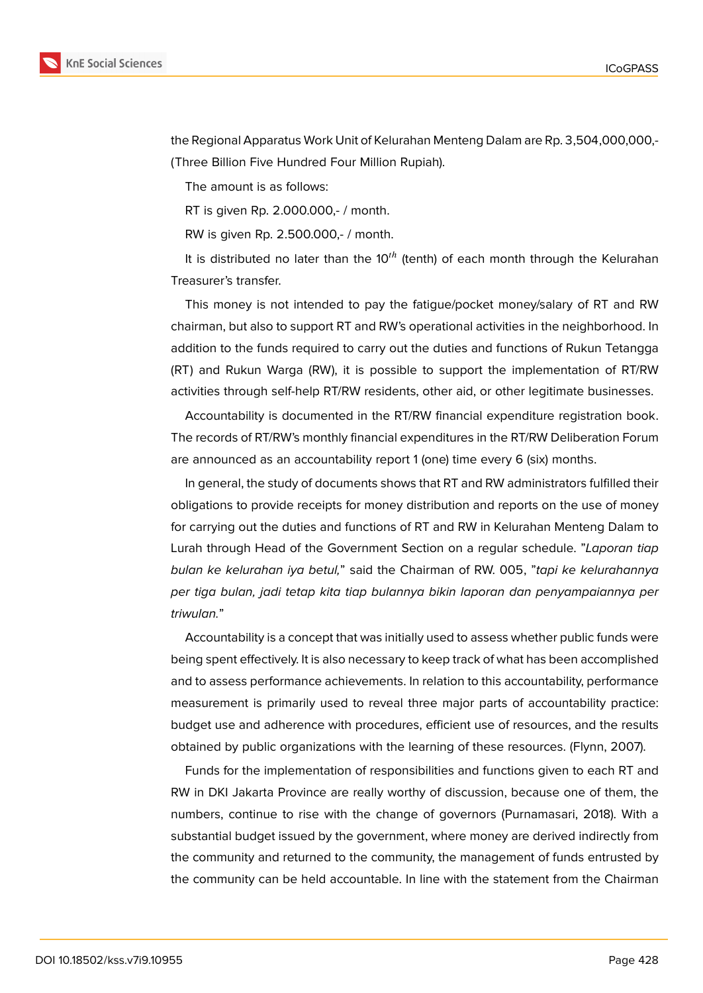

the Regional Apparatus Work Unit of Kelurahan Menteng Dalam are Rp. 3,504,000,000,- (Three Billion Five Hundred Four Million Rupiah).

The amount is as follows:

RT is given Rp. 2.000.000,- / month.

RW is given Rp. 2.500.000,- / month.

It is distributed no later than the  $10<sup>th</sup>$  (tenth) of each month through the Kelurahan Treasurer's transfer.

This money is not intended to pay the fatigue/pocket money/salary of RT and RW chairman, but also to support RT and RW's operational activities in the neighborhood. In addition to the funds required to carry out the duties and functions of Rukun Tetangga (RT) and Rukun Warga (RW), it is possible to support the implementation of RT/RW activities through self-help RT/RW residents, other aid, or other legitimate businesses.

Accountability is documented in the RT/RW financial expenditure registration book. The records of RT/RW's monthly financial expenditures in the RT/RW Deliberation Forum are announced as an accountability report 1 (one) time every 6 (six) months.

In general, the study of documents shows that RT and RW administrators fulfilled their obligations to provide receipts for money distribution and reports on the use of money for carrying out the duties and functions of RT and RW in Kelurahan Menteng Dalam to Lurah through Head of the Government Section on a regular schedule. "*Laporan tiap bulan ke kelurahan iya betul,*" said the Chairman of RW. 005, "*tapi ke kelurahannya per tiga bulan, jadi tetap kita tiap bulannya bikin laporan dan penyampaiannya per triwulan.*"

Accountability is a concept that was initially used to assess whether public funds were being spent effectively. It is also necessary to keep track of what has been accomplished and to assess performance achievements. In relation to this accountability, performance measurement is primarily used to reveal three major parts of accountability practice: budget use and adherence with procedures, efficient use of resources, and the results obtained by public organizations with the learning of these resources. (Flynn, 2007).

Funds for the implementation of responsibilities and functions given to each RT and RW in DKI Jakarta Province are really worthy of discussion, because one of them, the numbers, continue to rise with the change of governors (Purnamasari, 2018). With a substantial budget issued by the government, where money are derived indirectly from the community and returned to the community, the management of funds entrusted by the community can be held accountable. In line with the statement from the Chairman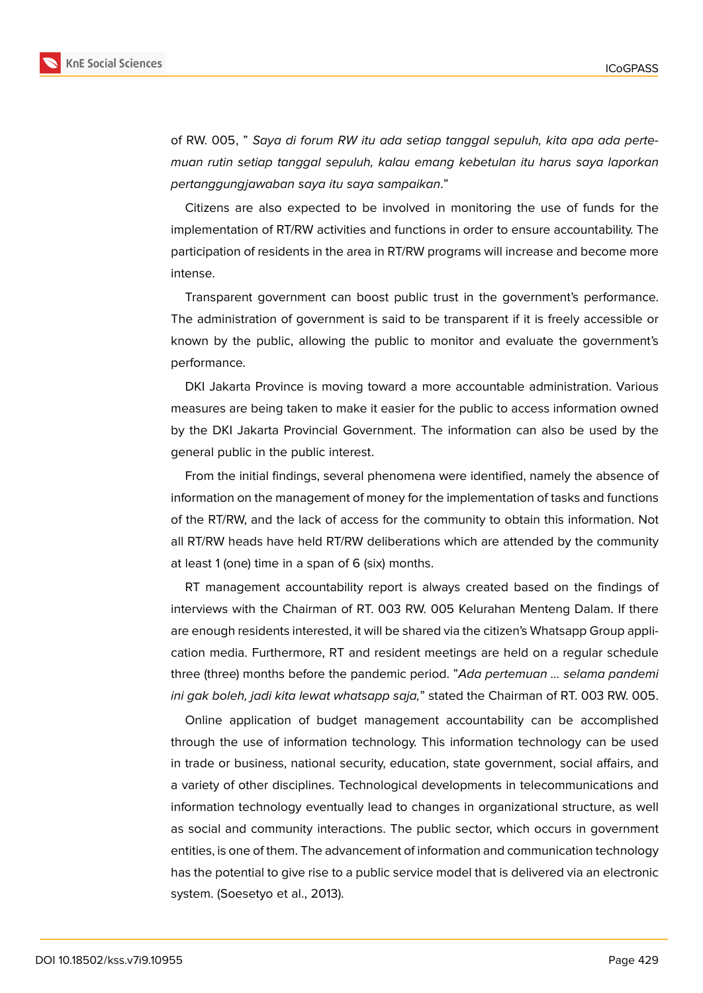of RW. 005, " *Saya di forum RW itu ada setiap tanggal sepuluh, kita apa ada pertemuan rutin setiap tanggal sepuluh, kalau emang kebetulan itu harus saya laporkan pertanggungjawaban saya itu saya sampaikan*."

Citizens are also expected to be involved in monitoring the use of funds for the implementation of RT/RW activities and functions in order to ensure accountability. The participation of residents in the area in RT/RW programs will increase and become more intense.

Transparent government can boost public trust in the government's performance. The administration of government is said to be transparent if it is freely accessible or known by the public, allowing the public to monitor and evaluate the government's performance.

DKI Jakarta Province is moving toward a more accountable administration. Various measures are being taken to make it easier for the public to access information owned by the DKI Jakarta Provincial Government. The information can also be used by the general public in the public interest.

From the initial findings, several phenomena were identified, namely the absence of information on the management of money for the implementation of tasks and functions of the RT/RW, and the lack of access for the community to obtain this information. Not all RT/RW heads have held RT/RW deliberations which are attended by the community at least 1 (one) time in a span of 6 (six) months.

RT management accountability report is always created based on the findings of interviews with the Chairman of RT. 003 RW. 005 Kelurahan Menteng Dalam. If there are enough residents interested, it will be shared via the citizen's Whatsapp Group application media. Furthermore, RT and resident meetings are held on a regular schedule three (three) months before the pandemic period. "*Ada pertemuan … selama pandemi ini gak boleh, jadi kita lewat whatsapp saja,*" stated the Chairman of RT. 003 RW. 005.

Online application of budget management accountability can be accomplished through the use of information technology. This information technology can be used in trade or business, national security, education, state government, social affairs, and a variety of other disciplines. Technological developments in telecommunications and information technology eventually lead to changes in organizational structure, as well as social and community interactions. The public sector, which occurs in government entities, is one of them. The advancement of information and communication technology has the potential to give rise to a public service model that is delivered via an electronic system. (Soesetyo et al., 2013).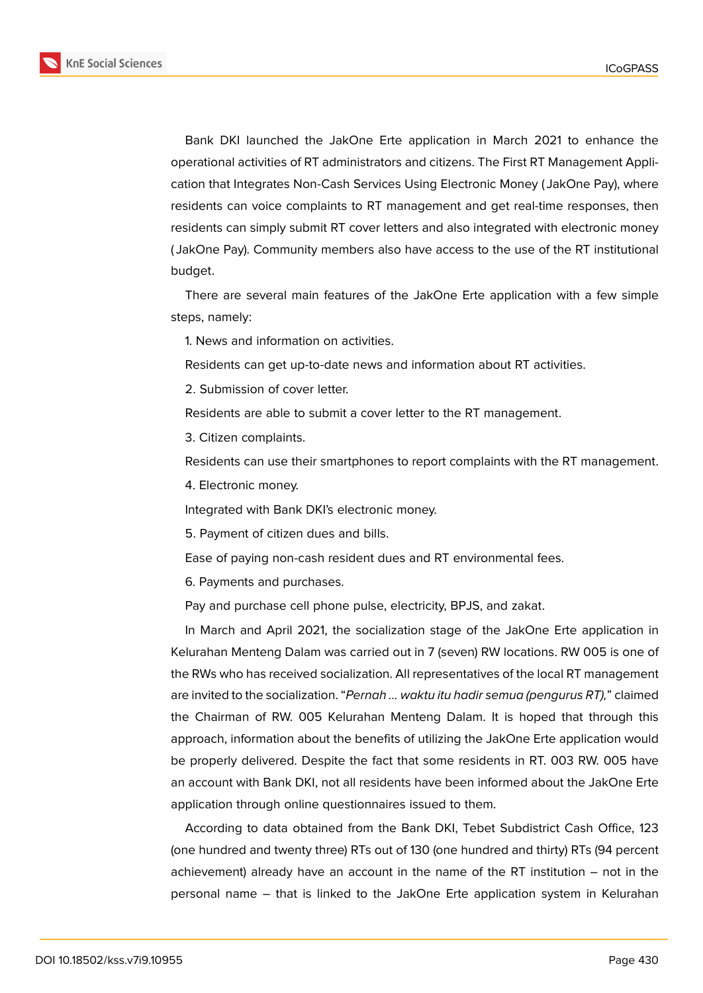

Bank DKI launched the JakOne Erte application in March 2021 to enhance the operational activities of RT administrators and citizens. The First RT Management Application that Integrates Non-Cash Services Using Electronic Money ( JakOne Pay), where residents can voice complaints to RT management and get real-time responses, then residents can simply submit RT cover letters and also integrated with electronic money ( JakOne Pay). Community members also have access to the use of the RT institutional budget.

There are several main features of the JakOne Erte application with a few simple steps, namely:

1. News and information on activities.

Residents can get up-to-date news and information about RT activities.

2. Submission of cover letter.

Residents are able to submit a cover letter to the RT management.

3. Citizen complaints.

Residents can use their smartphones to report complaints with the RT management.

4. Electronic money.

Integrated with Bank DKI's electronic money.

5. Payment of citizen dues and bills.

Ease of paying non-cash resident dues and RT environmental fees.

6. Payments and purchases.

Pay and purchase cell phone pulse, electricity, BPJS, and zakat.

In March and April 2021, the socialization stage of the JakOne Erte application in Kelurahan Menteng Dalam was carried out in 7 (seven) RW locations. RW 005 is one of the RWs who has received socialization. All representatives of the local RT management are invited to the socialization. "*Pernah … waktu itu hadir semua (pengurus RT),*" claimed the Chairman of RW. 005 Kelurahan Menteng Dalam. It is hoped that through this approach, information about the benefits of utilizing the JakOne Erte application would be properly delivered. Despite the fact that some residents in RT. 003 RW. 005 have an account with Bank DKI, not all residents have been informed about the JakOne Erte application through online questionnaires issued to them.

According to data obtained from the Bank DKI, Tebet Subdistrict Cash Office, 123 (one hundred and twenty three) RTs out of 130 (one hundred and thirty) RTs (94 percent achievement) already have an account in the name of the RT institution – not in the personal name – that is linked to the JakOne Erte application system in Kelurahan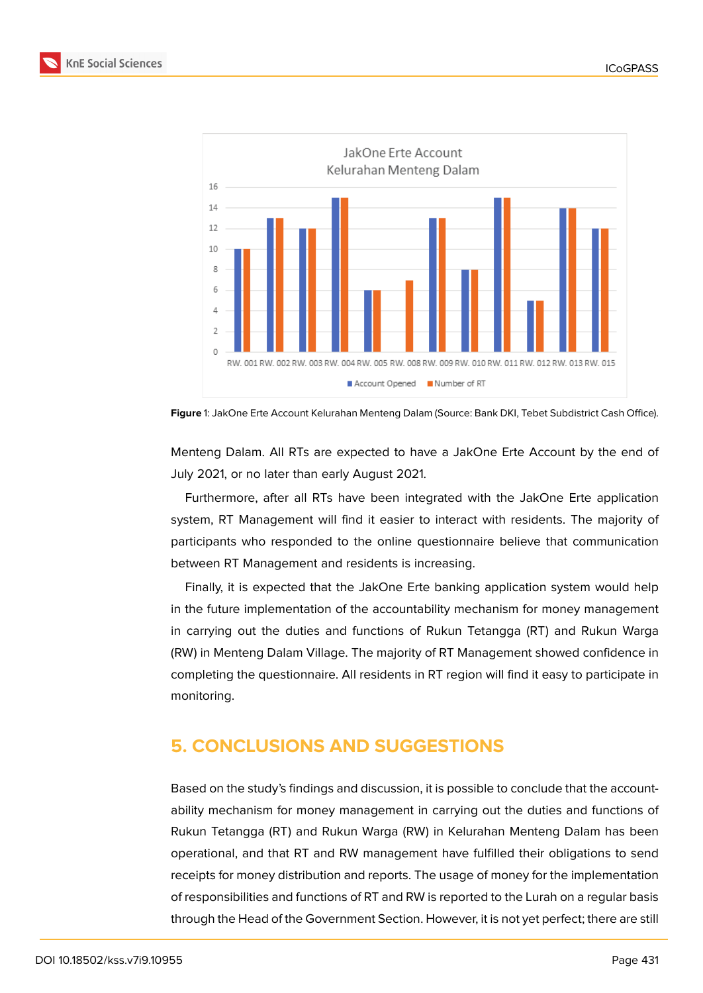



**Figure** 1: JakOne Erte Account Kelurahan Menteng Dalam (Source: Bank DKI, Tebet Subdistrict Cash Office).

Menteng Dalam. All RTs are expected to have a JakOne Erte Account by the end of July 2021, or no later than early August 2021.

Furthermore, after all RTs have been integrated with the JakOne Erte application system, RT Management will find it easier to interact with residents. The majority of participants who responded to the online questionnaire believe that communication between RT Management and residents is increasing.

Finally, it is expected that the JakOne Erte banking application system would help in the future implementation of the accountability mechanism for money management in carrying out the duties and functions of Rukun Tetangga (RT) and Rukun Warga (RW) in Menteng Dalam Village. The majority of RT Management showed confidence in completing the questionnaire. All residents in RT region will find it easy to participate in monitoring.

## **5. CONCLUSIONS AND SUGGESTIONS**

Based on the study's findings and discussion, it is possible to conclude that the accountability mechanism for money management in carrying out the duties and functions of Rukun Tetangga (RT) and Rukun Warga (RW) in Kelurahan Menteng Dalam has been operational, and that RT and RW management have fulfilled their obligations to send receipts for money distribution and reports. The usage of money for the implementation of responsibilities and functions of RT and RW is reported to the Lurah on a regular basis through the Head of the Government Section. However, it is not yet perfect; there are still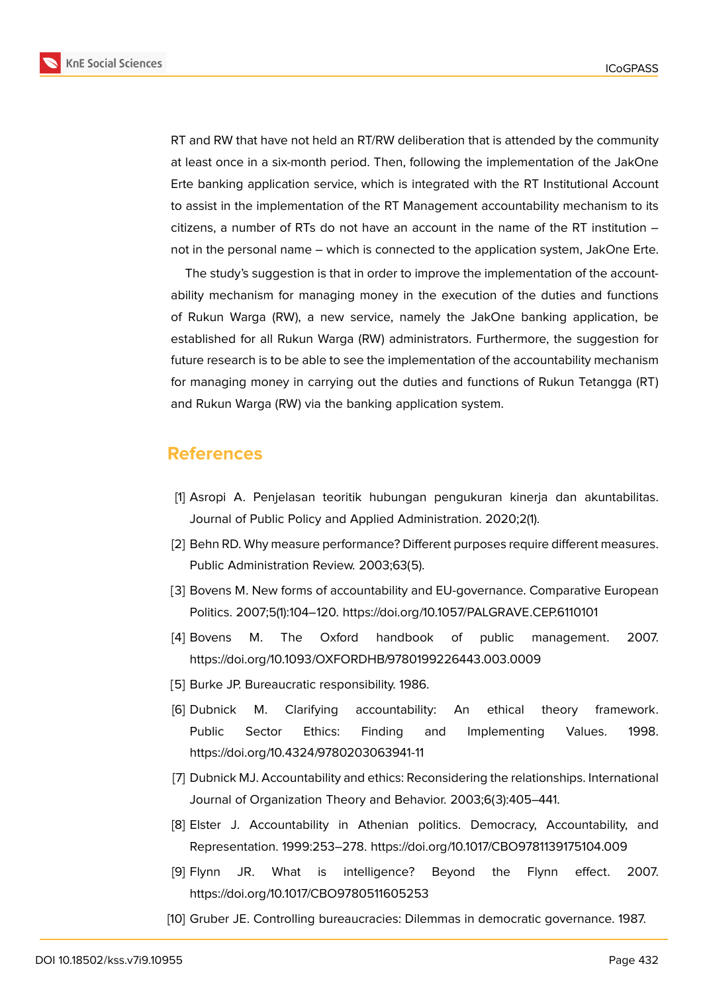



RT and RW that have not held an RT/RW deliberation that is attended by the community at least once in a six-month period. Then, following the implementation of the JakOne Erte banking application service, which is integrated with the RT Institutional Account to assist in the implementation of the RT Management accountability mechanism to its citizens, a number of RTs do not have an account in the name of the RT institution – not in the personal name – which is connected to the application system, JakOne Erte.

The study's suggestion is that in order to improve the implementation of the accountability mechanism for managing money in the execution of the duties and functions of Rukun Warga (RW), a new service, namely the JakOne banking application, be established for all Rukun Warga (RW) administrators. Furthermore, the suggestion for future research is to be able to see the implementation of the accountability mechanism for managing money in carrying out the duties and functions of Rukun Tetangga (RT) and Rukun Warga (RW) via the banking application system.

### **References**

- [1] Asropi A. Penjelasan teoritik hubungan pengukuran kinerja dan akuntabilitas. Journal of Public Policy and Applied Administration. 2020;2(1).
- [2] Behn RD. Why measure performance? Different purposes require different measures. Public Administration Review. 2003;63(5).
- [3] Bovens M. New forms of accountability and EU-governance. Comparative European Politics. 2007;5(1):104–120. https://doi.org/10.1057/PALGRAVE.CEP.6110101
- [4] Bovens M. The Oxford handbook of public management. 2007. https://doi.org/10.1093/OXFORDHB/9780199226443.003.0009
- [5] Burke JP. Bureaucratic responsibility. 1986.
- [6] Dubnick M. Clarifying accountability: An ethical theory framework. Public Sector Ethics: Finding and Implementing Values. 1998. https://doi.org/10.4324/9780203063941-11
- [7] Dubnick MJ. Accountability and ethics: Reconsidering the relationships. International Journal of Organization Theory and Behavior. 2003;6(3):405–441.
- [8] Elster J. Accountability in Athenian politics. Democracy, Accountability, and Representation. 1999:253–278. https://doi.org/10.1017/CBO9781139175104.009
- [9] Flynn JR. What is intelligence? Beyond the Flynn effect. 2007. https://doi.org/10.1017/CBO9780511605253
- [10] Gruber JE. Controlling bureaucracies: Dilemmas in democratic governance. 1987.